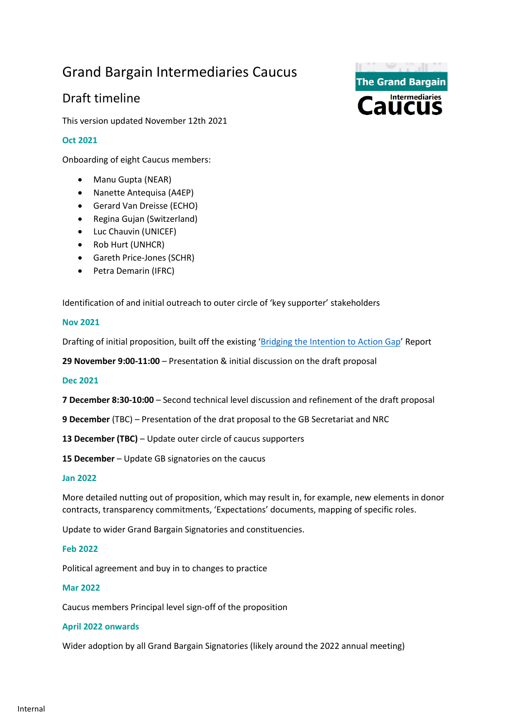# Grand Bargain Intermediaries Caucus

# Draft timeline

This version updated November 12th 2021

# **Oct 2021**

Onboarding of eight Caucus members:

- Manu Gupta (NEAR)
- Nanette Antequisa (A4EP)
- Gerard Van Dreisse (ECHO)
- Regina Gujan (Switzerland)
- Luc Chauvin (UNICEF)
- Rob Hurt (UNHCR)
- Gareth Price-Jones (SCHR)
- Petra Demarin (IFRC)

Identification of and initial outreach to outer circle of 'key supporter' stakeholders

#### **Nov 2021**

Drafting of initial proposition, built off the existing '[Bridging the Intention to Action Gap](https://interagencystandingcommittee.org/system/files/2021-06/Bridging%20the%20intention%20to%20action%20gap%20-%20the%20future%20role%20of%20intermediaries%20in%20supporting%20locally%20led%20humanitarian%20action.pdf)' Report

**29 November 9:00-11:00** – Presentation & initial discussion on the draft proposal

## **Dec 2021**

**7 December 8:30-10:00** – Second technical level discussion and refinement of the draft proposal

**9 December** (TBC) – Presentation of the drat proposal to the GB Secretariat and NRC

**13 December (TBC)** – Update outer circle of caucus supporters

**15 December** – Update GB signatories on the caucus

## **Jan 2022**

More detailed nutting out of proposition, which may result in, for example, new elements in donor contracts, transparency commitments, 'Expectations' documents, mapping of specific roles.

Update to wider Grand Bargain Signatories and constituencies.

#### **Feb 2022**

Political agreement and buy in to changes to practice

#### **Mar 2022**

Caucus members Principal level sign-off of the proposition

## **April 2022 onwards**

Wider adoption by all Grand Bargain Signatories (likely around the 2022 annual meeting)